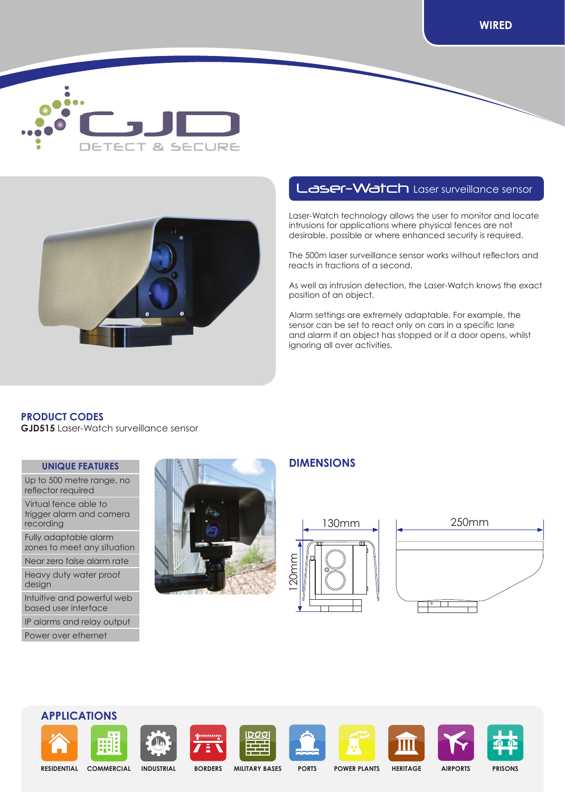



# Laser-Watch Laser surveillance sensor

Laser-Watch technology allows the user to monitor and locate intrusions for applications where physical fences are not desirable, possible or where enhanced security is required.

The 500m laser surveillance sensor works without reflectors and reacts in fractions of a second.

As well as intrusion detection, the Laser-Watch knows the exact position of an object.

Alarm settings are extremely adaptable. For example, the sensor can be set to react only on cars in a specific lane and alarm if an object has stopped or if a door opens, whilst ignoring all over activities.

## **PRODUCT CODES**

**GJD515** Laser-Watch surveillance sensor

### **UNIQUE FEATURES**

Up to 500 metre range, no reflector required

Virtual fence able to trigger alarm and camera recording

Fully adaptable alarm zones to meet any situation

Near zero false alarm rate

Heavy duty water proof design

Intuitive and powerful web based user interface

IP alarms and relay output

Power over ethernet



## **DIMENSIONS**